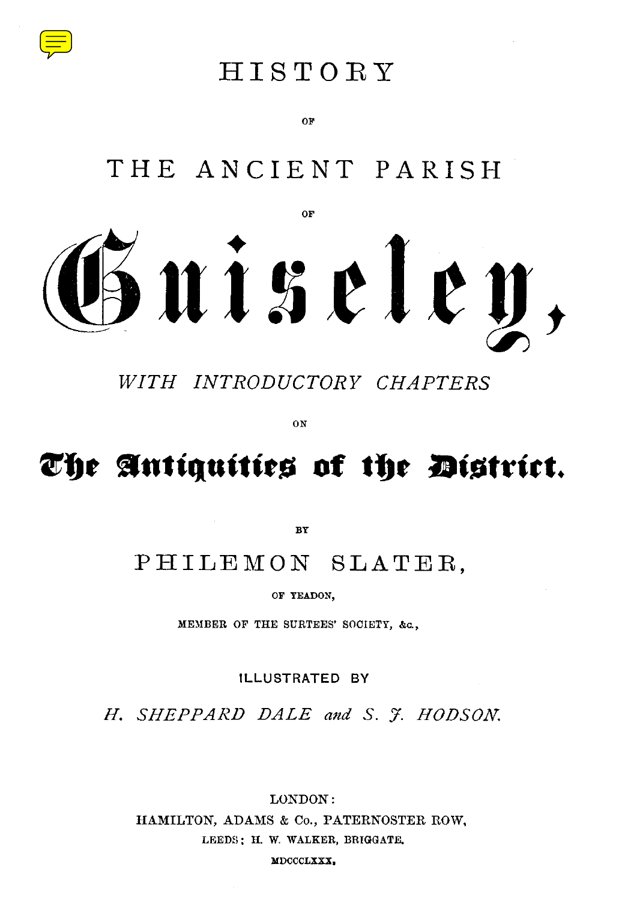

## HISTOR <sup>Y</sup>

**O F**

# THE ANCIENT PARISH



*WITH INTRODUCTORY CHAPTERS*

ON

# **The Antiquities of the district.**

**BY**

### PHILEMON SLATER.

OF YEADON,

MEMBER OF THE SURTEES' SOCIETY, &c. ,

ILLUSTRATED BY

*H. SHEPPARD DALE and S. J . HODSON.*

LONDON : HAMILTON, ADAMS & Co., PATERNOSTER ROW, LEEDS : H. W. WALKER, BRIGGATE. MDCCCLXXX.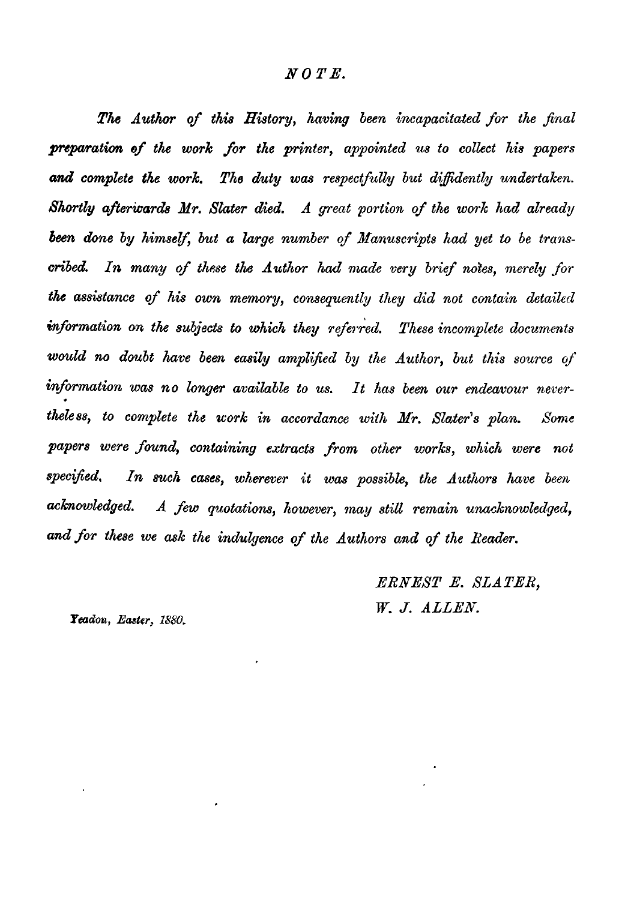#### *NOTE.*

*The Author of this History, having been incapacitated for the final preparation of the work for the printer, appointed us to collect his papers and complete the work. The duty was respectfully but diffidently undertaken. Shortly afterwards Mr. Slater died. A great portion of the work had already been done by himself, but a large number of Manuscripts had yet to be transcribed. In many of these the Author had made very brief notes, merely for the assistance of his own memory, consequently they did not contain detailed information on the subjects to which they referred. These incomplete documents would no doubt have been easily amplified by the Author, but this source of information was no longer available to us. It has been our endeavou theless, to complete the work in accordance with Mr. Slater's plan.* Some papers were found, containing extracts from other works, which were not *specified. In such cases, wherever it was possible, the Authors have been* acknowledged. A few quotations, however, may still remain unacknowledged, and for these we ask the indulgence of the Authors and of the Reader.

> *ERNEST E. SLATER, W. J. ALLEN.*

*Yeadon, Easter, 1880.*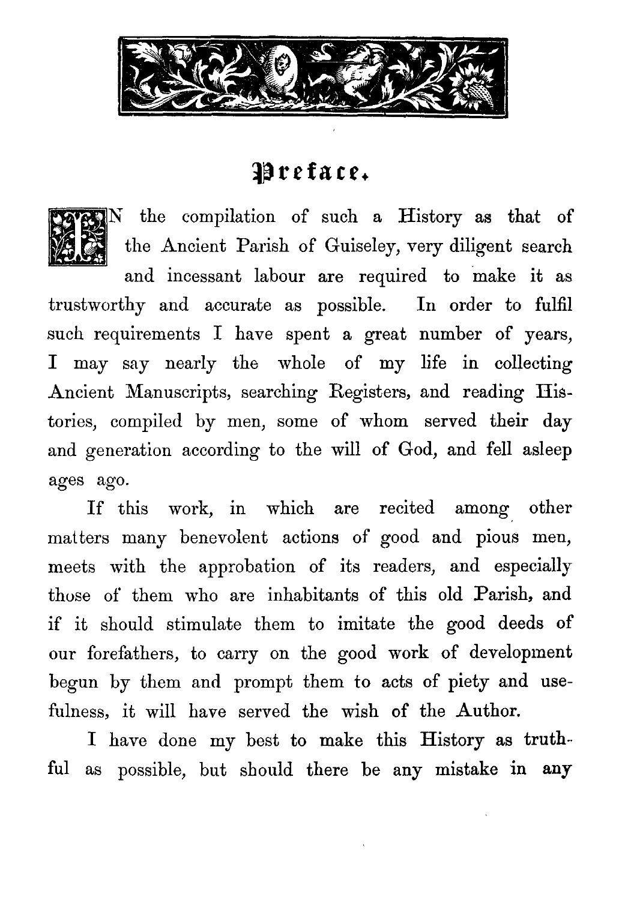



the compilation of such a History as that of the Ancient Parish of Guiseley, very diligent search

and incessant labour are required to make it as trustworthy and accurate as possible. In order to fulfil such requirements I have spent a great number of years, I may say nearly the whole of my life in collecting Ancient Manuscripts, searching Registers, and reading Histories, compiled by men, some of whom served their day and generation according to the will of God, and fell asleep ages ago.

If this work, in which are recited among other matters many benevolent actions of good and pious men, meets with the approbation of its readers, and especially those of them who are inhabitants of this old Parish, and if it should stimulate them to imitate the good deeds of our forefathers, to carry on the good work of development begun by them and prompt them to acts of piety and usefulness, it will have served the wish of the Author.

I have done my best to make this History as truth-. ful as possible, but should there be any mistake in any